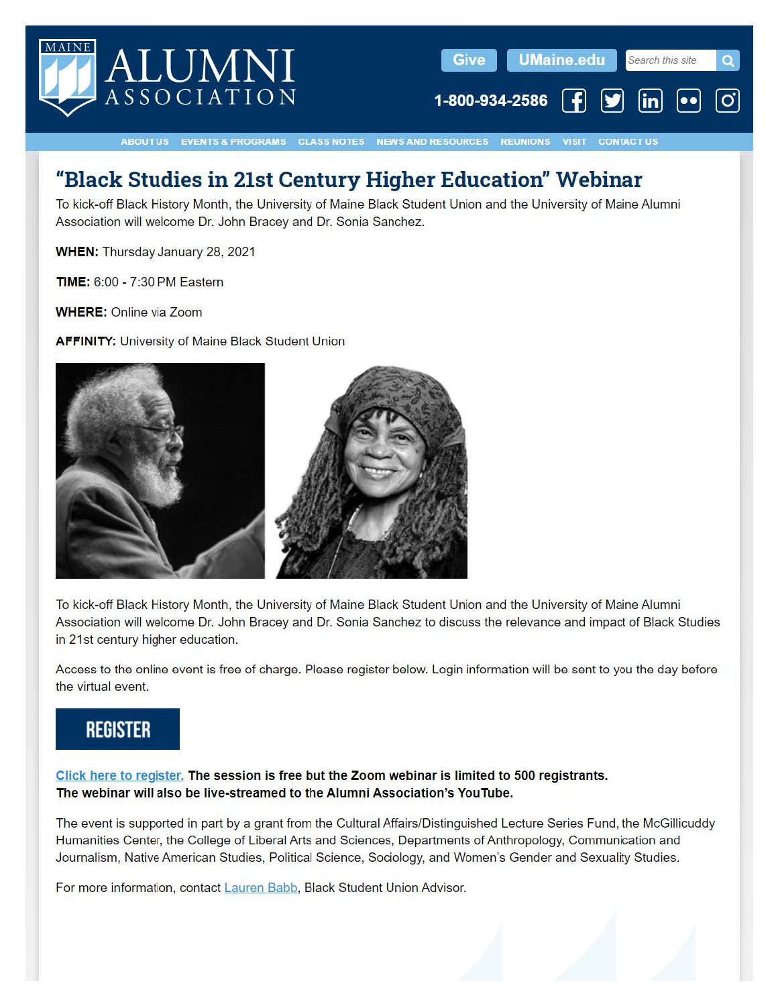

# **"Black Studies in 21st Century Higher Education" Webinar**

To kick-off Black History Month, the University of Maine Black Student Union and the University of Maine Alumni Association will welcome Dr. John Bracey and Dr. Sonia Sanchez.

**WHEN:** Thursday January 28, 2021

**TIME:** 6:00 - 7:30 PM Eastern

**WHERE:** Online via Zoom

**AFFINITY: University of Maine Black Student Union** 



To kick-off Black History Month, the University of Maine Black Student Union and the University of Maine Alumni Association will welcome Dr. John Bracey and Dr. Sonia Sanchez to discuss the relevance and impact of Black Studies in 21st century higher education.

Access to the online event is free of charge. Please register below. Login information will be sent to you the day before the virtual event.

# **REGISTER**

**Click here to register. The session is free but the Zoom webinar is limited to 500 registrants. The webinar will also be live-streamed to the Alumni Association's YouTube.** 

The event is supported in part by a grant from the Cultural Affairs/Distinguished Lecture Series Fund, the McGillicuddy Humanities Center, the College of Liberal Arts and Sciences, Departments of Anthropology, Communication and Journalism, Native American Studies, Political Science, Sociology, and Women's Gender and Sexuality Studies.

For more information, contact Lauren Babb, Black Student Union Advisor.